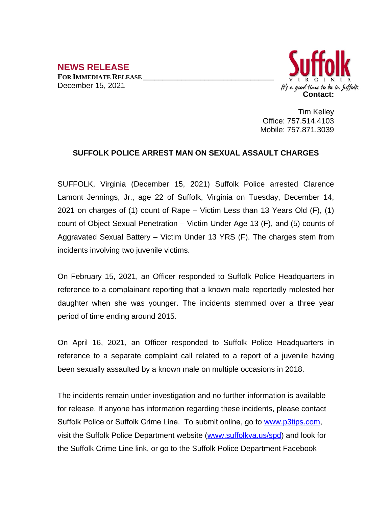## **NEWS RELEASE FOR IMMEDIATE RELEASE \_\_\_\_\_\_\_\_\_\_\_\_\_\_\_\_\_\_\_\_\_\_\_\_\_\_\_\_\_\_\_\_\_\_** December 15, 2021



Tim Kelley Office: 757.514.4103 Mobile: 757.871.3039

## **SUFFOLK POLICE ARREST MAN ON SEXUAL ASSAULT CHARGES**

SUFFOLK, Virginia (December 15, 2021) Suffolk Police arrested Clarence Lamont Jennings, Jr., age 22 of Suffolk, Virginia on Tuesday, December 14, 2021 on charges of (1) count of Rape – Victim Less than 13 Years Old (F), (1) count of Object Sexual Penetration – Victim Under Age 13 (F), and (5) counts of Aggravated Sexual Battery – Victim Under 13 YRS (F). The charges stem from incidents involving two juvenile victims.

On February 15, 2021, an Officer responded to Suffolk Police Headquarters in reference to a complainant reporting that a known male reportedly molested her daughter when she was younger. The incidents stemmed over a three year period of time ending around 2015.

On April 16, 2021, an Officer responded to Suffolk Police Headquarters in reference to a separate complaint call related to a report of a juvenile having been sexually assaulted by a known male on multiple occasions in 2018.

The incidents remain under investigation and no further information is available for release. If anyone has information regarding these incidents, please contact Suffolk Police or Suffolk Crime Line. To submit online, go to [www.p3tips.com](http://www.p3tips.com), visit the Suffolk Police Department website [\(www.suffolkva.us/spd](http://www.suffolkva.us/spd)) and look for the Suffolk Crime Line link, or go to the Suffolk Police Department Facebook